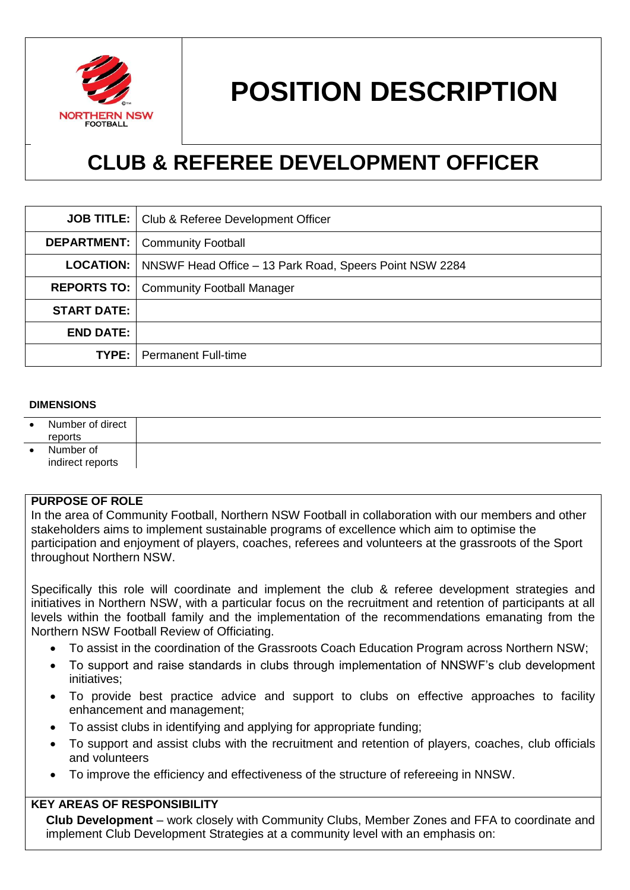

# **POSITION DESCRIPTION**

# **CLUB & REFEREE DEVELOPMENT OFFICER**

|                    | <b>JOB TITLE:</b>   Club & Referee Development Officer                     |
|--------------------|----------------------------------------------------------------------------|
|                    | <b>DEPARTMENT:</b>   Community Football                                    |
|                    | <b>LOCATION:</b>   NNSWF Head Office – 13 Park Road, Speers Point NSW 2284 |
|                    | <b>REPORTS TO:   Community Football Manager</b>                            |
| <b>START DATE:</b> |                                                                            |
| <b>END DATE:</b>   |                                                                            |
|                    | <b>TYPE:</b>   Permanent Full-time                                         |

#### **DIMENSIONS**

| Number of direct<br>reports   |  |
|-------------------------------|--|
| Number of<br>indirect reports |  |

#### **PURPOSE OF ROLE**

In the area of Community Football, Northern NSW Football in collaboration with our members and other stakeholders aims to implement sustainable programs of excellence which aim to optimise the participation and enjoyment of players, coaches, referees and volunteers at the grassroots of the Sport throughout Northern NSW.

Specifically this role will coordinate and implement the club & referee development strategies and initiatives in Northern NSW, with a particular focus on the recruitment and retention of participants at all levels within the football family and the implementation of the recommendations emanating from the Northern NSW Football Review of Officiating.

- To assist in the coordination of the Grassroots Coach Education Program across Northern NSW;
- To support and raise standards in clubs through implementation of NNSWF's club development initiatives;
- To provide best practice advice and support to clubs on effective approaches to facility enhancement and management;
- To assist clubs in identifying and applying for appropriate funding;
- To support and assist clubs with the recruitment and retention of players, coaches, club officials and volunteers
- To improve the efficiency and effectiveness of the structure of refereeing in NNSW.

#### **KEY AREAS OF RESPONSIBILITY**

**Club Development** – work closely with Community Clubs, Member Zones and FFA to coordinate and implement Club Development Strategies at a community level with an emphasis on: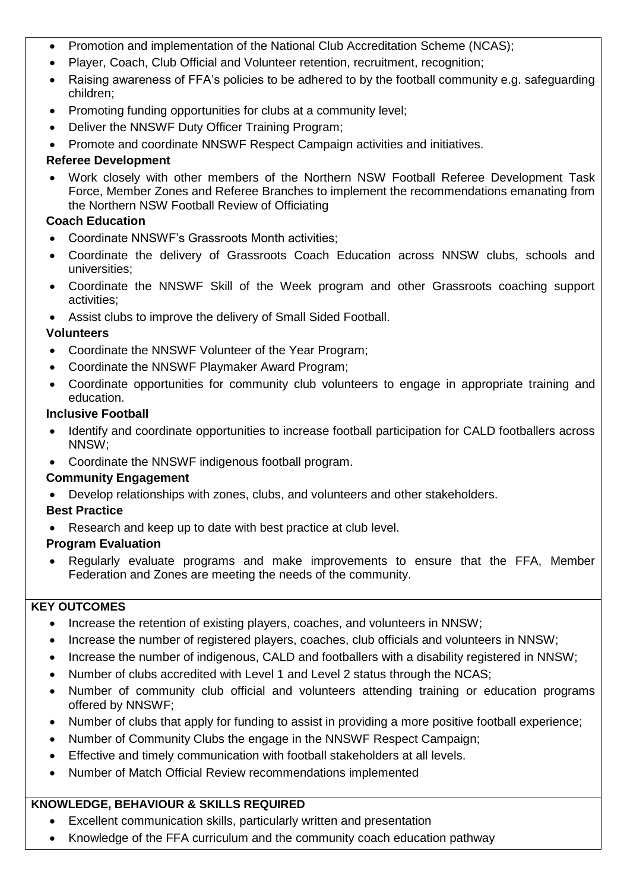- Promotion and implementation of the National Club Accreditation Scheme (NCAS);
- Player, Coach, Club Official and Volunteer retention, recruitment, recognition;
- Raising awareness of FFA's policies to be adhered to by the football community e.g. safeguarding children;
- Promoting funding opportunities for clubs at a community level;
- Deliver the NNSWF Duty Officer Training Program;
- Promote and coordinate NNSWF Respect Campaign activities and initiatives.

#### **Referee Development**

 Work closely with other members of the Northern NSW Football Referee Development Task Force, Member Zones and Referee Branches to implement the recommendations emanating from the Northern NSW Football Review of Officiating

## **Coach Education**

- Coordinate NNSWF's Grassroots Month activities;
- Coordinate the delivery of Grassroots Coach Education across NNSW clubs, schools and universities;
- Coordinate the NNSWF Skill of the Week program and other Grassroots coaching support activities;
- Assist clubs to improve the delivery of Small Sided Football.

## **Volunteers**

- Coordinate the NNSWF Volunteer of the Year Program;
- Coordinate the NNSWF Playmaker Award Program;
- Coordinate opportunities for community club volunteers to engage in appropriate training and education.

#### **Inclusive Football**

- Identify and coordinate opportunities to increase football participation for CALD footballers across NNSW;
- Coordinate the NNSWF indigenous football program.

# **Community Engagement**

Develop relationships with zones, clubs, and volunteers and other stakeholders.

# **Best Practice**

• Research and keep up to date with best practice at club level.

# **Program Evaluation**

 Regularly evaluate programs and make improvements to ensure that the FFA, Member Federation and Zones are meeting the needs of the community.

#### **KEY OUTCOMES**

- Increase the retention of existing players, coaches, and volunteers in NNSW;
- Increase the number of registered players, coaches, club officials and volunteers in NNSW;
- Increase the number of indigenous, CALD and footballers with a disability registered in NNSW;
- Number of clubs accredited with Level 1 and Level 2 status through the NCAS;
- Number of community club official and volunteers attending training or education programs offered by NNSWF;
- Number of clubs that apply for funding to assist in providing a more positive football experience;
- Number of Community Clubs the engage in the NNSWF Respect Campaign;
- Effective and timely communication with football stakeholders at all levels.
- Number of Match Official Review recommendations implemented

# **KNOWLEDGE, BEHAVIOUR & SKILLS REQUIRED**

- Excellent communication skills, particularly written and presentation
- Knowledge of the FFA curriculum and the community coach education pathway